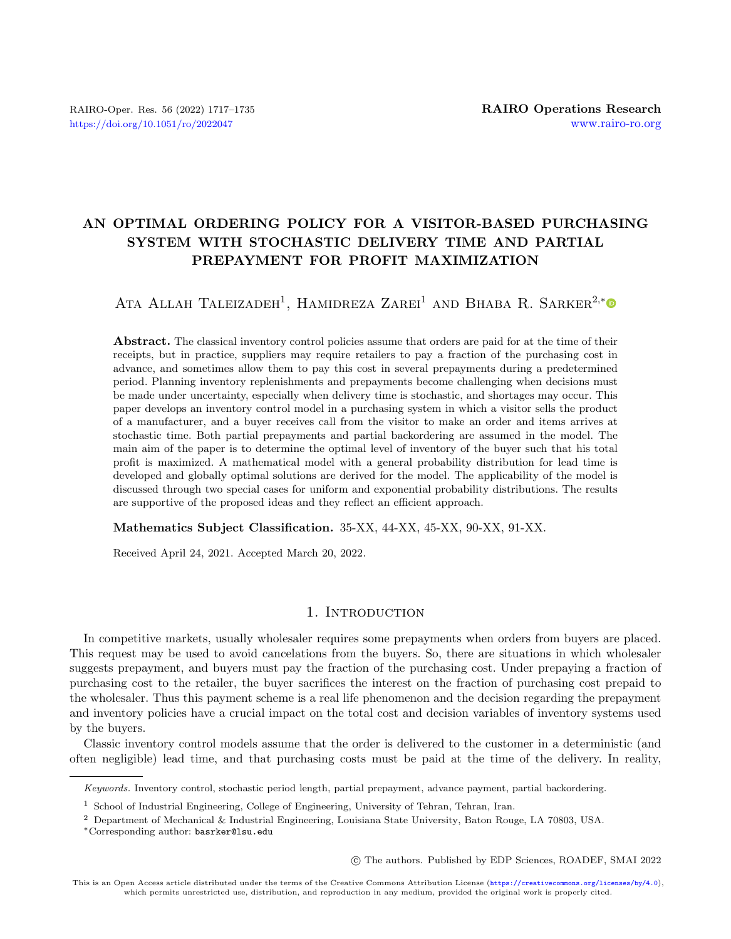## AN OPTIMAL ORDERING POLICY FOR A VISITOR-BASED PURCHASING SYSTEM WITH STOCHASTIC DELIVERY TIME AND PARTIAL PREPAYMENT FOR PROFIT MAXIMIZATION

ATA ALLAH TALEIZADEH<sup>1</sup>, HAMIDREZA ZAREI<sup>1</sup> AND BHABA R. SARKER<sup>2,[\\*](https://orcid.org/0000-0001-6875-6750)</sup>

Abstract. The classical inventory control policies assume that orders are paid for at the time of their receipts, but in practice, suppliers may require retailers to pay a fraction of the purchasing cost in advance, and sometimes allow them to pay this cost in several prepayments during a predetermined period. Planning inventory replenishments and prepayments become challenging when decisions must be made under uncertainty, especially when delivery time is stochastic, and shortages may occur. This paper develops an inventory control model in a purchasing system in which a visitor sells the product of a manufacturer, and a buyer receives call from the visitor to make an order and items arrives at stochastic time. Both partial prepayments and partial backordering are assumed in the model. The main aim of the paper is to determine the optimal level of inventory of the buyer such that his total profit is maximized. A mathematical model with a general probability distribution for lead time is developed and globally optimal solutions are derived for the model. The applicability of the model is discussed through two special cases for uniform and exponential probability distributions. The results are supportive of the proposed ideas and they reflect an efficient approach.

Mathematics Subject Classification. 35-XX, 44-XX, 45-XX, 90-XX, 91-XX.

Received April 24, 2021. Accepted March 20, 2022.

## 1. INTRODUCTION

In competitive markets, usually wholesaler requires some prepayments when orders from buyers are placed. This request may be used to avoid cancelations from the buyers. So, there are situations in which wholesaler suggests prepayment, and buyers must pay the fraction of the purchasing cost. Under prepaying a fraction of purchasing cost to the retailer, the buyer sacrifices the interest on the fraction of purchasing cost prepaid to the wholesaler. Thus this payment scheme is a real life phenomenon and the decision regarding the prepayment and inventory policies have a crucial impact on the total cost and decision variables of inventory systems used by the buyers.

Classic inventory control models assume that the order is delivered to the customer in a deterministic (and often negligible) lead time, and that purchasing costs must be paid at the time of the delivery. In reality,

○c The authors. Published by EDP Sciences, ROADEF, SMAI 2022

Keywords. Inventory control, stochastic period length, partial prepayment, advance payment, partial backordering.

<sup>&</sup>lt;sup>1</sup> School of Industrial Engineering, College of Engineering, University of Tehran, Tehran, Iran.

<sup>2</sup> Department of Mechanical & Industrial Engineering, Louisiana State University, Baton Rouge, LA 70803, USA.

<sup>\*</sup>Corresponding author: [basrker@lsu.edu](mailto:basrker@lsu.edu)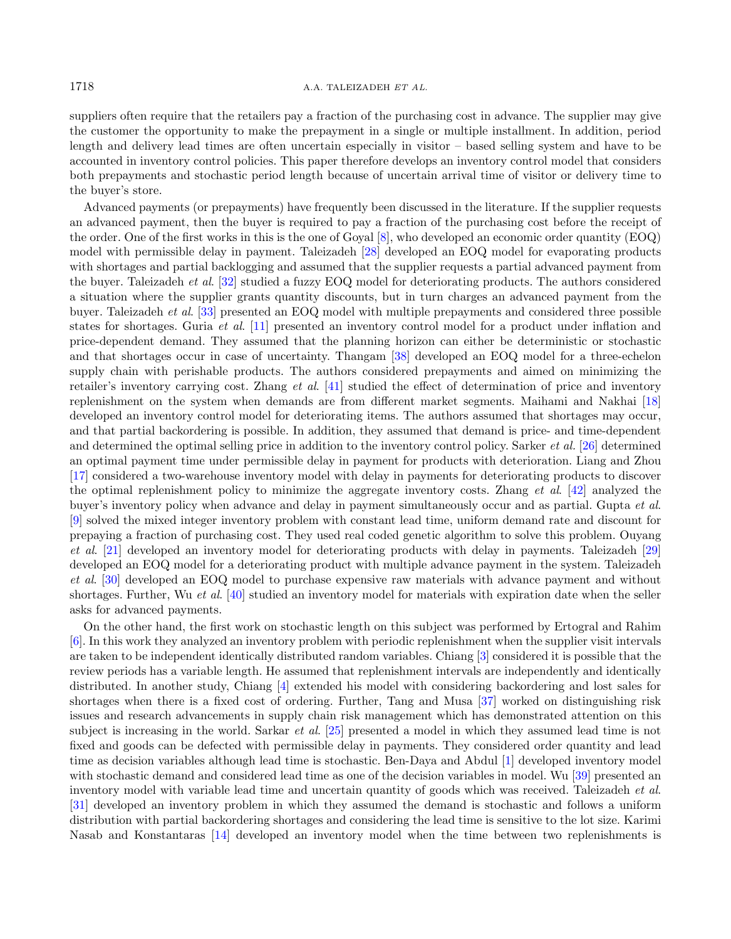#### 1718 A.A. TALEIZADEH ET AL.

suppliers often require that the retailers pay a fraction of the purchasing cost in advance. The supplier may give the customer the opportunity to make the prepayment in a single or multiple installment. In addition, period length and delivery lead times are often uncertain especially in visitor – based selling system and have to be accounted in inventory control policies. This paper therefore develops an inventory control model that considers both prepayments and stochastic period length because of uncertain arrival time of visitor or delivery time to the buyer's store.

Advanced payments (or prepayments) have frequently been discussed in the literature. If the supplier requests an advanced payment, then the buyer is required to pay a fraction of the purchasing cost before the receipt of the order. One of the first works in this is the one of Goyal [\[8\]](#page-17-0), who developed an economic order quantity (EOQ) model with permissible delay in payment. Taleizadeh [\[28\]](#page-18-0) developed an EOQ model for evaporating products with shortages and partial backlogging and assumed that the supplier requests a partial advanced payment from the buyer. Taleizadeh et al. [\[32\]](#page-18-1) studied a fuzzy EOQ model for deteriorating products. The authors considered a situation where the supplier grants quantity discounts, but in turn charges an advanced payment from the buyer. Taleizadeh et al. [\[33\]](#page-18-2) presented an EOQ model with multiple prepayments and considered three possible states for shortages. Guria et al. [\[11\]](#page-17-1) presented an inventory control model for a product under inflation and price-dependent demand. They assumed that the planning horizon can either be deterministic or stochastic and that shortages occur in case of uncertainty. Thangam [\[38\]](#page-18-3) developed an EOQ model for a three-echelon supply chain with perishable products. The authors considered prepayments and aimed on minimizing the retailer's inventory carrying cost. Zhang et al. [\[41\]](#page-18-4) studied the effect of determination of price and inventory replenishment on the system when demands are from different market segments. Maihami and Nakhai [\[18\]](#page-17-2) developed an inventory control model for deteriorating items. The authors assumed that shortages may occur, and that partial backordering is possible. In addition, they assumed that demand is price- and time-dependent and determined the optimal selling price in addition to the inventory control policy. Sarker *et al.* [\[26\]](#page-17-3) determined an optimal payment time under permissible delay in payment for products with deterioration. Liang and Zhou [\[17\]](#page-17-4) considered a two-warehouse inventory model with delay in payments for deteriorating products to discover the optimal replenishment policy to minimize the aggregate inventory costs. Zhang et al. [\[42\]](#page-18-5) analyzed the buyer's inventory policy when advance and delay in payment simultaneously occur and as partial. Gupta et al. [\[9\]](#page-17-5) solved the mixed integer inventory problem with constant lead time, uniform demand rate and discount for prepaying a fraction of purchasing cost. They used real coded genetic algorithm to solve this problem. Ouyang et al. [\[21\]](#page-17-6) developed an inventory model for deteriorating products with delay in payments. Taleizadeh [\[29\]](#page-18-6) developed an EOQ model for a deteriorating product with multiple advance payment in the system. Taleizadeh et al. [\[30\]](#page-18-7) developed an EOQ model to purchase expensive raw materials with advance payment and without shortages. Further, Wu et al. [\[40\]](#page-18-8) studied an inventory model for materials with expiration date when the seller asks for advanced payments.

On the other hand, the first work on stochastic length on this subject was performed by Ertogral and Rahim [\[6\]](#page-17-7). In this work they analyzed an inventory problem with periodic replenishment when the supplier visit intervals are taken to be independent identically distributed random variables. Chiang [\[3\]](#page-17-8) considered it is possible that the review periods has a variable length. He assumed that replenishment intervals are independently and identically distributed. In another study, Chiang [\[4\]](#page-17-9) extended his model with considering backordering and lost sales for shortages when there is a fixed cost of ordering. Further, Tang and Musa [\[37\]](#page-18-9) worked on distinguishing risk issues and research advancements in supply chain risk management which has demonstrated attention on this subject is increasing in the world. Sarkar et al. [\[25\]](#page-17-10) presented a model in which they assumed lead time is not fixed and goods can be defected with permissible delay in payments. They considered order quantity and lead time as decision variables although lead time is stochastic. Ben-Daya and Abdul [\[1\]](#page-17-11) developed inventory model with stochastic demand and considered lead time as one of the decision variables in model. Wu [\[39\]](#page-18-10) presented an inventory model with variable lead time and uncertain quantity of goods which was received. Taleizadeh et al. [\[31\]](#page-18-11) developed an inventory problem in which they assumed the demand is stochastic and follows a uniform distribution with partial backordering shortages and considering the lead time is sensitive to the lot size. Karimi Nasab and Konstantaras [\[14\]](#page-17-12) developed an inventory model when the time between two replenishments is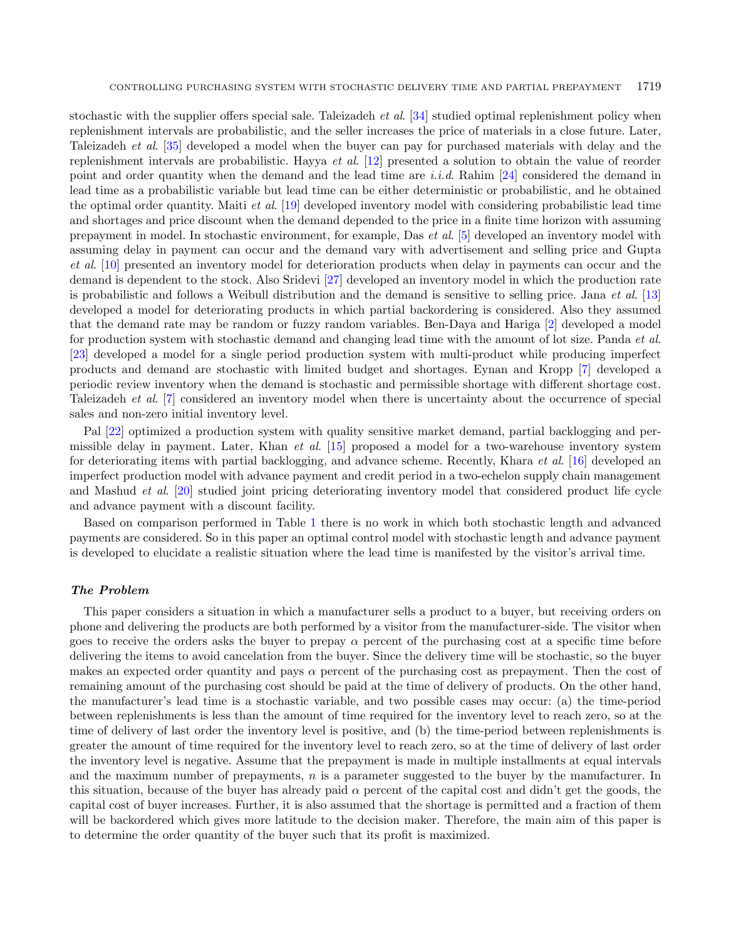stochastic with the supplier offers special sale. Taleizadeh *et al.* [\[34\]](#page-18-12) studied optimal replenishment policy when replenishment intervals are probabilistic, and the seller increases the price of materials in a close future. Later, Taleizadeh et al. [\[35\]](#page-18-13) developed a model when the buyer can pay for purchased materials with delay and the replenishment intervals are probabilistic. Hayya et al. [\[12\]](#page-17-13) presented a solution to obtain the value of reorder point and order quantity when the demand and the lead time are i.i.d. Rahim [\[24\]](#page-17-14) considered the demand in lead time as a probabilistic variable but lead time can be either deterministic or probabilistic, and he obtained the optimal order quantity. Maiti et al. [\[19\]](#page-17-15) developed inventory model with considering probabilistic lead time and shortages and price discount when the demand depended to the price in a finite time horizon with assuming prepayment in model. In stochastic environment, for example, Das et al. [\[5\]](#page-17-16) developed an inventory model with assuming delay in payment can occur and the demand vary with advertisement and selling price and Gupta et al. [\[10\]](#page-17-17) presented an inventory model for deterioration products when delay in payments can occur and the demand is dependent to the stock. Also Sridevi [\[27\]](#page-17-18) developed an inventory model in which the production rate is probabilistic and follows a Weibull distribution and the demand is sensitive to selling price. Jana et al. [\[13\]](#page-17-19) developed a model for deteriorating products in which partial backordering is considered. Also they assumed that the demand rate may be random or fuzzy random variables. Ben-Daya and Hariga [\[2\]](#page-17-20) developed a model for production system with stochastic demand and changing lead time with the amount of lot size. Panda et al. [\[23\]](#page-17-21) developed a model for a single period production system with multi-product while producing imperfect products and demand are stochastic with limited budget and shortages. Eynan and Kropp [\[7\]](#page-17-22) developed a periodic review inventory when the demand is stochastic and permissible shortage with different shortage cost. Taleizadeh et al. [\[7\]](#page-17-22) considered an inventory model when there is uncertainty about the occurrence of special sales and non-zero initial inventory level.

Pal [\[22\]](#page-17-23) optimized a production system with quality sensitive market demand, partial backlogging and permissible delay in payment. Later, Khan *et al.* [\[15\]](#page-17-24) proposed a model for a two-warehouse inventory system for deteriorating items with partial backlogging, and advance scheme. Recently, Khara et al. [\[16\]](#page-17-25) developed an imperfect production model with advance payment and credit period in a two-echelon supply chain management and Mashud et al. [\[20\]](#page-17-26) studied joint pricing deteriorating inventory model that considered product life cycle and advance payment with a discount facility.

Based on comparison performed in Table [1](#page-3-0) there is no work in which both stochastic length and advanced payments are considered. So in this paper an optimal control model with stochastic length and advance payment is developed to elucidate a realistic situation where the lead time is manifested by the visitor's arrival time.

#### The Problem

This paper considers a situation in which a manufacturer sells a product to a buyer, but receiving orders on phone and delivering the products are both performed by a visitor from the manufacturer-side. The visitor when goes to receive the orders asks the buyer to prepay  $\alpha$  percent of the purchasing cost at a specific time before delivering the items to avoid cancelation from the buyer. Since the delivery time will be stochastic, so the buyer makes an expected order quantity and pays  $\alpha$  percent of the purchasing cost as prepayment. Then the cost of remaining amount of the purchasing cost should be paid at the time of delivery of products. On the other hand, the manufacturer's lead time is a stochastic variable, and two possible cases may occur: (a) the time-period between replenishments is less than the amount of time required for the inventory level to reach zero, so at the time of delivery of last order the inventory level is positive, and (b) the time-period between replenishments is greater the amount of time required for the inventory level to reach zero, so at the time of delivery of last order the inventory level is negative. Assume that the prepayment is made in multiple installments at equal intervals and the maximum number of prepayments,  $n$  is a parameter suggested to the buyer by the manufacturer. In this situation, because of the buyer has already paid  $\alpha$  percent of the capital cost and didn't get the goods, the capital cost of buyer increases. Further, it is also assumed that the shortage is permitted and a fraction of them will be backordered which gives more latitude to the decision maker. Therefore, the main aim of this paper is to determine the order quantity of the buyer such that its profit is maximized.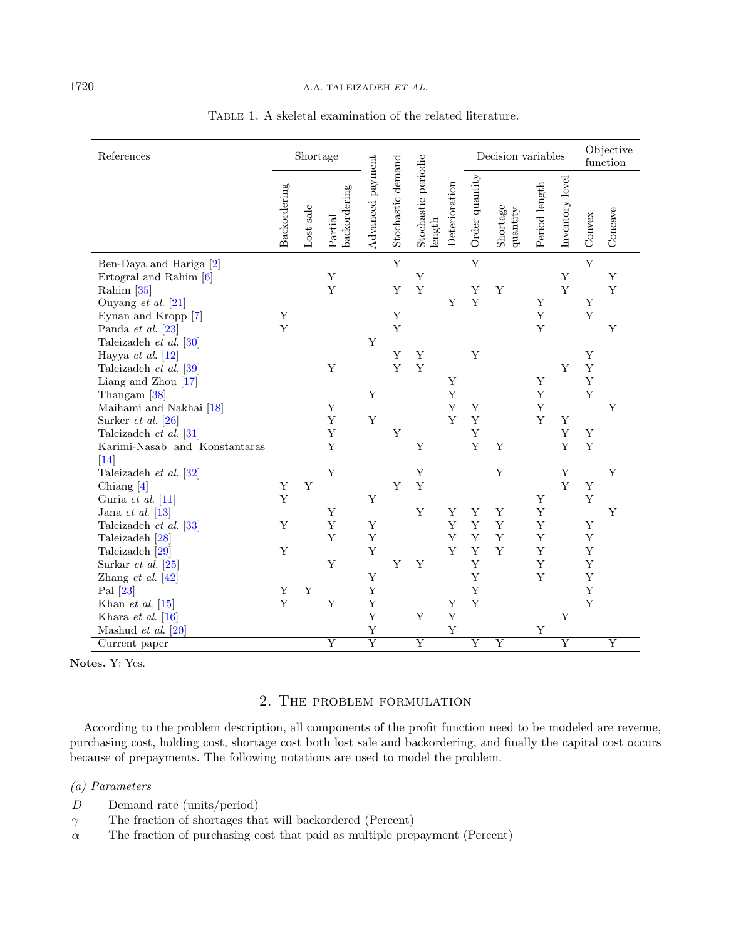| References                                                                                                                                                                                                                                         | Shortage              |           |                                 |                                                               |                   |                                        | Decision variables              |                                      |                                      | Objective<br>function                |                            |                                                |                                 |
|----------------------------------------------------------------------------------------------------------------------------------------------------------------------------------------------------------------------------------------------------|-----------------------|-----------|---------------------------------|---------------------------------------------------------------|-------------------|----------------------------------------|---------------------------------|--------------------------------------|--------------------------------------|--------------------------------------|----------------------------|------------------------------------------------|---------------------------------|
|                                                                                                                                                                                                                                                    | Backordering          | Lost sale | backordering<br>Partial         | Advanced payment                                              | Stochastic demand | Stochastic periodic<br>$\mbox{length}$ | Deterioration                   | Order quantity                       | Shortage<br>quantity                 | Period length                        | Inventory level            | Convex                                         | Concave                         |
| Ben-Daya and Hariga [2]<br>Ertogral and Rahim [6]<br>Rahim $[35]$<br>Ouyang et al. $[21]$<br>Eynan and Kropp [7]<br>Panda et al. $[23]$                                                                                                            | Y<br>Y                |           | Y<br>Y                          |                                                               | Y<br>Y<br>Y<br>Y  | Y<br>Y                                 | Y                               | $\mathbf Y$<br>Y<br>Y                | Y                                    | Y<br>Y<br>Y                          | Y<br>Y                     | Y<br>$\mathbf Y$<br>Y                          | $\mathbf Y$<br>$\mathbf Y$<br>Y |
| Taleizadeh et al. [30]<br>Hayya et al. $[12]$<br>Taleizadeh et al. [39]<br>Liang and Zhou $[17]$<br>Thangam <sup>[38]</sup><br>Maihami and Nakhai [18]<br>Sarker et al. $[26]$<br>Taleizadeh et al. [31]<br>Karimi-Nasab and Konstantaras          |                       |           | $\mathbf Y$<br>Y<br>Y<br>Y<br>Y | Y<br>Y<br>Y                                                   | Y<br>Y<br>Y       | Y<br>Y<br>Y                            | Y<br>Y<br>Y<br>Y                | Y<br>Y<br>Y<br>Y<br>Y                | Y                                    | Y<br>Y<br>Y<br>Y                     | Y<br>$\mathbf Y$<br>Y<br>Y | Y<br>Y<br>Y<br>Y<br>$\mathbf Y$<br>Y           | Y                               |
| $\vert 14 \vert$<br>Taleizadeh et al. [32]<br>Chiang $[4]$                                                                                                                                                                                         | Y                     | Y         | Y                               |                                                               | Y                 | Y<br>Y                                 |                                 |                                      | Y                                    |                                      | Y<br>Y                     | Y                                              | Y                               |
| Guria et al. $[11]$<br>Jana et al. $[13]$<br>Taleizadeh et al. [33]<br>Taleizadeh [28]<br>Taleizadeh [29]<br>Sarkar et al. $ 25 $<br>Zhang et al. $[42]$<br>Pal $[23]$<br>Khan <i>et al.</i> $[15]$<br>Khara et al. $ 16 $<br>Mashud et al. $[20]$ | Y<br>Y<br>Y<br>Y<br>Y | Y         | Y<br>Y<br>Y<br>Y<br>Y           | Y<br>Y<br>$\mathbf Y$<br>$\mathbf Y$<br>Y<br>Y<br>Y<br>Y<br>Y | Y                 | Y<br>Y<br>Y                            | Y<br>Y<br>Y<br>Y<br>Y<br>Y<br>Y | Y<br>Y<br>Y<br>Y<br>Y<br>Y<br>Y<br>Y | Y<br>Y<br>$\mathbf Y$<br>$\mathbf Y$ | Y<br>Y<br>Y<br>Y<br>Y<br>Y<br>Y<br>Y | Y                          | Y<br>Y<br>Y<br>$\mathbf Y$<br>Y<br>Y<br>Y<br>Y | Y                               |
| Current paper                                                                                                                                                                                                                                      |                       |           | $\overline{\mathrm{Y}}$         | $\overline{\mathrm{Y}}$                                       |                   | $\overline{Y}$                         |                                 | $\overline{\mathrm{Y}}$              | $\overline{\mathrm{Y}}$              |                                      | $\overline{\mathrm{Y}}$    |                                                | $\overline{\mathrm{Y}}$         |

<span id="page-3-0"></span>Table 1. A skeletal examination of the related literature.

Notes. Y: Yes.

## 2. The problem formulation

According to the problem description, all components of the profit function need to be modeled are revenue, purchasing cost, holding cost, shortage cost both lost sale and backordering, and finally the capital cost occurs because of prepayments. The following notations are used to model the problem.

## (a) Parameters

- D Demand rate (units/period)
- $\gamma$   $\qquad$  The fraction of shortages that will backordered (Percent)
- $\alpha$  The fraction of purchasing cost that paid as multiple prepayment (Percent)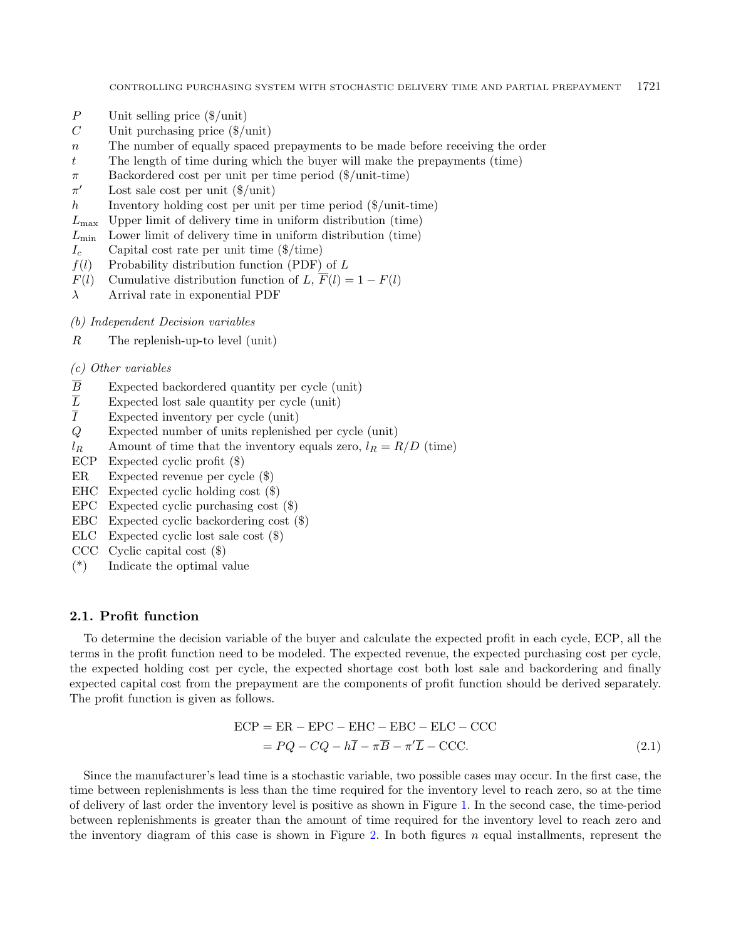- $P$  Unit selling price (\$/unit)
- $C$  Unit purchasing price ( $\gamma$ unit)
- $n$  The number of equally spaced prepayments to be made before receiving the order
- The length of time during which the buyer will make the prepayments (time)
- $\pi$  Backordered cost per unit per time period (\$/unit-time)
- $\pi'$ Lost sale cost per unit  $(\frac{2}{\text{unit}})$
- $h$  Inventory holding cost per unit per time period ( $\gamma$ unit-time)
- $L_{\text{max}}$  Upper limit of delivery time in uniform distribution (time)
- $L_{\text{min}}$  Lower limit of delivery time in uniform distribution (time)
- $I_c$  Capital cost rate per unit time (\$/time)
- $f(l)$  Probability distribution function (PDF) of L
- $F(l)$  Cumulative distribution function of L,  $\overline{F}(l) = 1 F(l)$
- $\lambda$  Arrival rate in exponential PDF

(b) Independent Decision variables

 $R$  The replenish-up-to level (unit)

- (c) Other variables
- $\overline{B}$  Expected backordered quantity per cycle (unit)<br>
Expected lost sale quantity per cycle (unit)
- $\overline{L}$  Expected lost sale quantity per cycle (unit)<br>
Expected inventory per cycle (unit)
- Expected inventory per cycle (unit)
- Expected number of units replenished per cycle (unit)
- $l_R$  Amount of time that the inventory equals zero,  $l_R = R/D$  (time)
- ECP Expected cyclic profit (\$)
- ER Expected revenue per cycle (\$)
- EHC Expected cyclic holding cost (\$)
- EPC Expected cyclic purchasing cost (\$)
- EBC Expected cyclic backordering cost (\$)
- ELC Expected cyclic lost sale cost (\$)
- CCC Cyclic capital cost (\$)
- (\*) Indicate the optimal value

#### 2.1. Profit function

To determine the decision variable of the buyer and calculate the expected profit in each cycle, ECP, all the terms in the profit function need to be modeled. The expected revenue, the expected purchasing cost per cycle, the expected holding cost per cycle, the expected shortage cost both lost sale and backordering and finally expected capital cost from the prepayment are the components of profit function should be derived separately. The profit function is given as follows.

$$
ECP = ER - EPC - EHC - EBC - ELC - CCC
$$
  
= PQ - CQ - h\overline{I} - \pi\overline{B} - \pi'\overline{L} - CCC. (2.1)

Since the manufacturer's lead time is a stochastic variable, two possible cases may occur. In the first case, the time between replenishments is less than the time required for the inventory level to reach zero, so at the time of delivery of last order the inventory level is positive as shown in Figure [1.](#page-5-0) In the second case, the time-period between replenishments is greater than the amount of time required for the inventory level to reach zero and the inventory diagram of this case is shown in Figure [2.](#page-5-1) In both figures  $n$  equal installments, represent the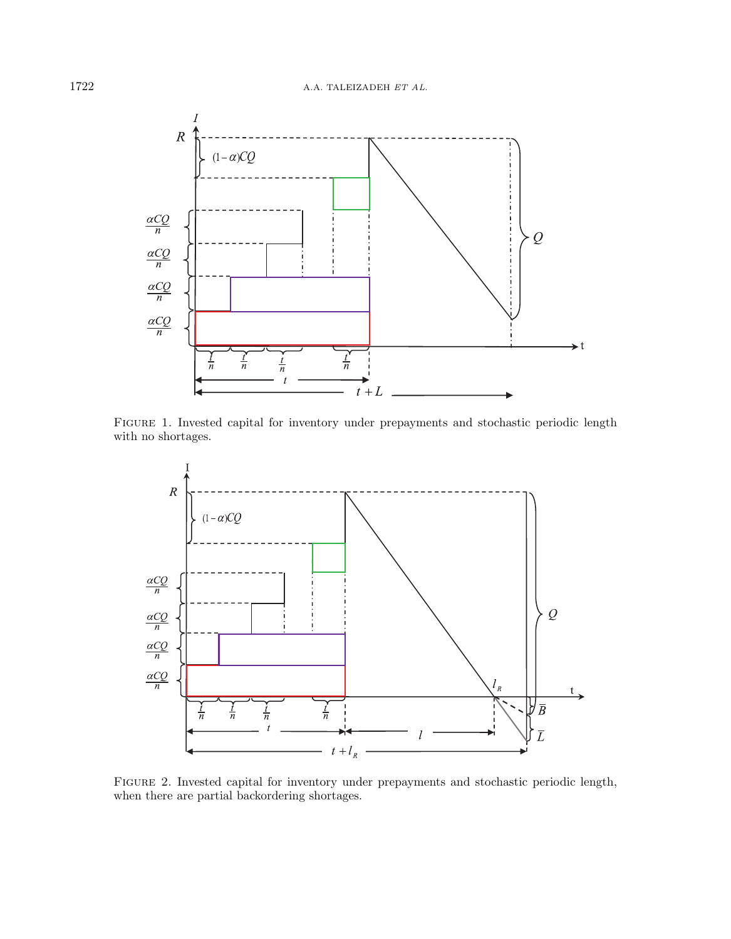<span id="page-5-0"></span>

Figure 1. Invested capital for inventory under prepayments and stochastic periodic length with no shortages.

<span id="page-5-1"></span>

Figure 2. Invested capital for inventory under prepayments and stochastic periodic length, when there are partial backordering shortages.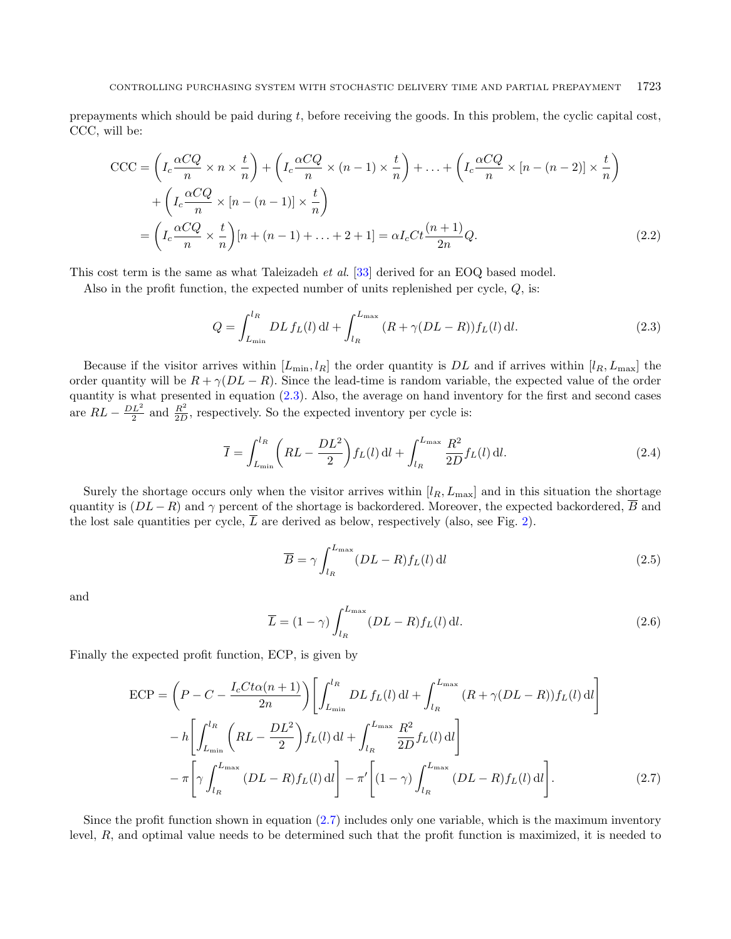prepayments which should be paid during , before receiving the goods. In this problem, the cyclic capital cost, CCC, will be:

$$
CCC = \left(I_c \frac{\alpha CQ}{n} \times n \times \frac{t}{n}\right) + \left(I_c \frac{\alpha CQ}{n} \times (n-1) \times \frac{t}{n}\right) + \dots + \left(I_c \frac{\alpha CQ}{n} \times [n-(n-2)] \times \frac{t}{n}\right) + \left(I_c \frac{\alpha CQ}{n} \times [n-(n-1)] \times \frac{t}{n}\right)
$$

$$
= \left(I_c \frac{\alpha CQ}{n} \times \frac{t}{n}\right)[n+(n-1)+\dots+2+1] = \alpha I_c Ct \frac{(n+1)}{2n}Q.
$$
(2.2)

This cost term is the same as what Taleizadeh et al. [\[33\]](#page-18-2) derived for an EOQ based model.

Also in the profit function, the expected number of units replenished per cycle,  $Q$ , is:

<span id="page-6-0"></span>
$$
Q = \int_{L_{\min}}^{l_R} DL f_L(l) \, \mathrm{d}l + \int_{l_R}^{L_{\max}} (R + \gamma (DL - R)) f_L(l) \, \mathrm{d}l. \tag{2.3}
$$

Because if the visitor arrives within  $[L_{\min}, l_R]$  the order quantity is DL and if arrives within  $[l_R, L_{\max}]$  the order quantity will be  $R + \gamma (DL - R)$ . Since the lead-time is random variable, the expected value of the order quantity is what presented in equation [\(2.3\)](#page-6-0). Also, the average on hand inventory for the first and second cases are  $RL - \frac{DL^2}{2}$  and  $\frac{R^2}{2D}$  $\frac{R^2}{2D}$ , respectively. So the expected inventory per cycle is:

$$
\overline{I} = \int_{L_{\min}}^{l_R} \left( RL - \frac{DL^2}{2} \right) f_L(l) \, \mathrm{d}l + \int_{l_R}^{L_{\max}} \frac{R^2}{2D} f_L(l) \, \mathrm{d}l. \tag{2.4}
$$

Surely the shortage occurs only when the visitor arrives within  $[l_R, L_{\text{max}}]$  and in this situation the shortage quantity is  $(DL - R)$  and  $\gamma$  percent of the shortage is backordered. Moreover, the expected backordered,  $\overline{B}$  and the lost sale quantities per cycle,  $\overline{L}$  are derived as below, respectively (also, see Fig. [2\)](#page-5-1).

<span id="page-6-1"></span>
$$
\overline{B} = \gamma \int_{l_R}^{L_{\text{max}}} (DL - R) f_L(l) \, \mathrm{d}l \tag{2.5}
$$

and

$$
\overline{L} = (1 - \gamma) \int_{l_R}^{L_{\text{max}}} (DL - R) f_L(l) \, \mathrm{d}l. \tag{2.6}
$$

Finally the expected profit function, ECP, is given by

$$
\begin{split} \text{ECP} &= \left( P - C - \frac{I_c C t \alpha (n+1)}{2n} \right) \left[ \int_{L_{\min}}^{l_R} DL \, f_L(l) \, \text{d}l + \int_{l_R}^{L_{\max}} (R + \gamma (DL - R)) f_L(l) \, \text{d}l \right] \\ &- h \left[ \int_{L_{\min}}^{l_R} \left( RL - \frac{DL^2}{2} \right) f_L(l) \, \text{d}l + \int_{l_R}^{L_{\max}} \frac{R^2}{2D} f_L(l) \, \text{d}l \right] \\ &- \pi \left[ \gamma \int_{l_R}^{L_{\max}} (DL - R) f_L(l) \, \text{d}l \right] - \pi' \left[ (1 - \gamma) \int_{l_R}^{L_{\max}} (DL - R) f_L(l) \, \text{d}l \right]. \end{split} \tag{2.7}
$$

Since the profit function shown in equation [\(2.7\)](#page-6-1) includes only one variable, which is the maximum inventory level,  $R$ , and optimal value needs to be determined such that the profit function is maximized, it is needed to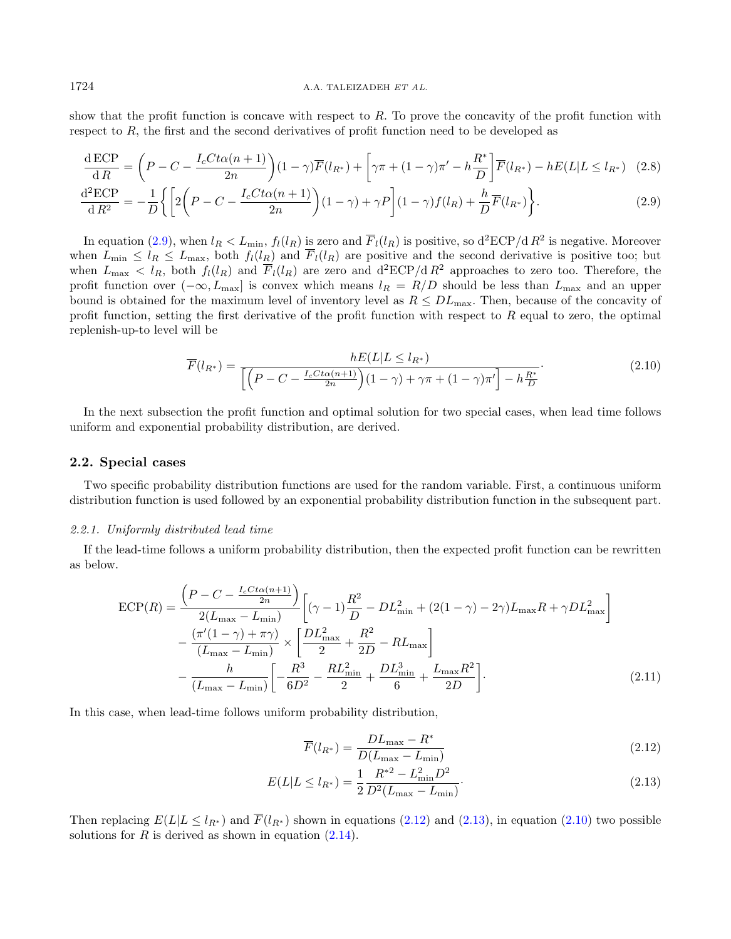show that the profit function is concave with respect to  $R$ . To prove the concavity of the profit function with respect to  $R$ , the first and the second derivatives of profit function need to be developed as

<span id="page-7-3"></span>
$$
\frac{\mathrm{d}\,E\mathrm{CP}}{\mathrm{d}\,R} = \left(P - C - \frac{I_c C t \alpha (n+1)}{2n}\right)(1-\gamma)\overline{F}(l_{R^*}) + \left[\gamma \pi + (1-\gamma) \pi' - h \frac{R^*}{D}\right] \overline{F}(l_{R^*}) - h E(L | L \leq l_{R^*}) \tag{2.8}
$$

$$
\frac{\mathrm{d}^2 \mathrm{ECP}}{\mathrm{d}R^2} = -\frac{1}{D} \bigg\{ \bigg[ 2\bigg(P - C - \frac{I_c C t \alpha (n+1)}{2n}\bigg) (1-\gamma) + \gamma P \bigg] (1-\gamma) f(l_R) + \frac{h}{D} \overline{F}(l_{R^*}) \bigg\}.
$$
\n(2.9)

In equation [\(2.9\)](#page-7-0), when  $l_R < L_{\min}$ ,  $f_l(l_R)$  is zero and  $\overline{F}_l(l_R)$  is positive, so  $d^2ECP/dR^2$  is negative. Moreover when  $L_{\min} \leq l_R \leq L_{\max}$ , both  $f_l(l_R)$  and  $\overline{F}_l(l_R)$  are positive and the second derivative is positive too; but when  $L_{\text{max}} < l_R$ , both  $f_l(l_R)$  and  $\overline{F}_l(l_R)$  are zero and  $d^2ECP/dR^2$  approaches to zero too. Therefore, the profit function over  $(-\infty, L_{\text{max}}]$  is convex which means  $l_R = R/D$  should be less than  $L_{\text{max}}$  and an upper bound is obtained for the maximum level of inventory level as  $R \leq DL_{\text{max}}$ . Then, because of the concavity of profit function, setting the first derivative of the profit function with respect to  $R$  equal to zero, the optimal replenish-up-to level will be

<span id="page-7-0"></span>
$$
\overline{F}(l_{R^*}) = \frac{hE(L|L \leq l_{R^*})}{\left[\left(P - C - \frac{I_c C t \alpha(n+1)}{2n}\right)(1-\gamma) + \gamma \pi + (1-\gamma)\pi'\right] - h\frac{R^*}{D}}.\tag{2.10}
$$

In the next subsection the profit function and optimal solution for two special cases, when lead time follows uniform and exponential probability distribution, are derived.

#### 2.2. Special cases

Two specific probability distribution functions are used for the random variable. First, a continuous uniform distribution function is used followed by an exponential probability distribution function in the subsequent part.

#### 2.2.1. Uniformly distributed lead time

If the lead-time follows a uniform probability distribution, then the expected profit function can be rewritten as below.

$$
ECP(R) = \frac{\left(P - C - \frac{I_c C t \alpha (n+1)}{2n}\right)}{2(L_{\text{max}} - L_{\text{min}})} \left[ (\gamma - 1) \frac{R^2}{D} - DL_{\text{min}}^2 + (2(1 - \gamma) - 2\gamma) L_{\text{max}} R + \gamma DL_{\text{max}}^2 \right] -\frac{(\pi'(1 - \gamma) + \pi \gamma)}{(L_{\text{max}} - L_{\text{min}})} \times \left[ \frac{DL_{\text{max}}^2}{2} + \frac{R^2}{2D} - RL_{\text{max}} \right] -\frac{h}{(L_{\text{max}} - L_{\text{min}})} \left[ -\frac{R^3}{6D^2} - \frac{RL_{\text{min}}^2}{2} + \frac{DL_{\text{min}}^3}{6} + \frac{L_{\text{max}} R^2}{2D} \right].
$$
 (2.11)

In this case, when lead-time follows uniform probability distribution,

<span id="page-7-4"></span><span id="page-7-2"></span><span id="page-7-1"></span>
$$
\overline{F}(l_{R^*}) = \frac{DL_{\text{max}} - R^*}{D(L_{\text{max}} - L_{\text{min}})}
$$
\n(2.12)

$$
E(L|L \le l_{R^*}) = \frac{1}{2} \frac{R^{*2} - L_{\text{min}}^2 D^2}{D^2 (L_{\text{max}} - L_{\text{min}})}.
$$
\n(2.13)

Then replacing  $E(L|L \leq l_{R^*})$  and  $\overline{F}(l_{R^*})$  shown in equations [\(2.12\)](#page-7-1) and [\(2.13\)](#page-7-2), in equation [\(2.10\)](#page-7-3) two possible solutions for  $R$  is derived as shown in equation  $(2.14)$ .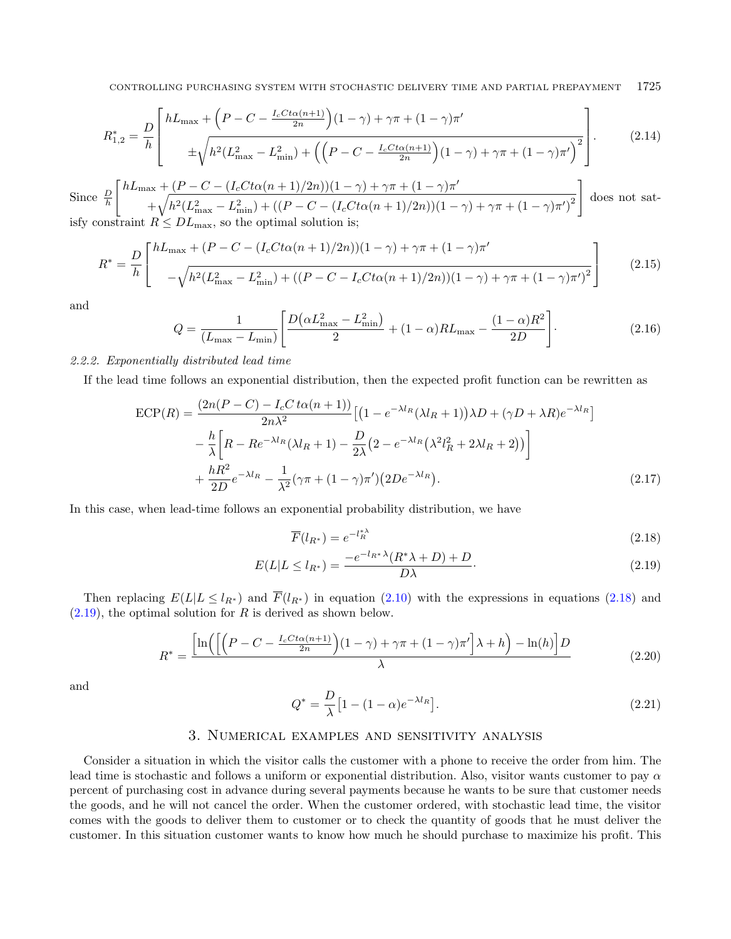$$
R_{1,2}^{*} = \frac{D}{h} \left[ \frac{hL_{\max} + \left(P - C - \frac{I_c C t \alpha (n+1)}{2n}\right)(1-\gamma) + \gamma \pi + (1-\gamma)\pi'}{\pm \sqrt{h^2 (L_{\max}^2 - L_{\min}^2) + \left(\left(P - C - \frac{I_c C t \alpha (n+1)}{2n}\right)(1-\gamma) + \gamma \pi + (1-\gamma)\pi'\right)^2}} \right].
$$
 (2.14)

Since  $\frac{D}{h}$  $\int hL_{\text{max}} + (P - C - (I_c C t \alpha (n+1)/2n))(1 - \gamma) + \gamma \pi + (1 - \gamma)\pi'$  $+\sqrt{h^2(L_{\max}^2-L_{\min}^2)+((P-C-(I_cCt\alpha(n+1)/2n))(1-\gamma)+\gamma\pi+(1-\gamma)\pi')^2}$ ]︃ does not satisfy constraint  $R \leq DL_{\text{max}}$ , so the optimal solution is;

$$
R^* = \frac{D}{h} \left[ \frac{hL_{\text{max}} + (P - C - (I_c C t \alpha (n+1)/2n))(1-\gamma) + \gamma \pi + (1-\gamma)\pi'}{-\sqrt{h^2 (L_{\text{max}}^2 - L_{\text{min}}^2) + ((P - C - I_c C t \alpha (n+1)/2n))(1-\gamma) + \gamma \pi + (1-\gamma)\pi')} \right]
$$
(2.15)

and

$$
Q = \frac{1}{(L_{\text{max}} - L_{\text{min}})} \left[ \frac{D(\alpha L_{\text{max}}^2 - L_{\text{min}}^2)}{2} + (1 - \alpha) R L_{\text{max}} - \frac{(1 - \alpha) R^2}{2D} \right].
$$
 (2.16)

#### 2.2.2. Exponentially distributed lead time

If the lead time follows an exponential distribution, then the expected profit function can be rewritten as

$$
\begin{split} \text{ECP}(R) &= \frac{(2n(P-C) - I_cC\,t\alpha(n+1))}{2n\lambda^2} \left[ \left(1 - e^{-\lambda l_R}(\lambda l_R + 1)\right)\lambda D + (\gamma D + \lambda R)e^{-\lambda l_R} \right] \\ &- \frac{h}{\lambda} \left[ R - Re^{-\lambda l_R}(\lambda l_R + 1) - \frac{D}{2\lambda} \left(2 - e^{-\lambda l_R}(\lambda^2 l_R^2 + 2\lambda l_R + 2)\right) \right] \\ &+ \frac{hR^2}{2D} e^{-\lambda l_R} - \frac{1}{\lambda^2} (\gamma \pi + (1 - \gamma)\pi') \left(2De^{-\lambda l_R}\right). \end{split} \tag{2.17}
$$

In this case, when lead-time follows an exponential probability distribution, we have

<span id="page-8-1"></span><span id="page-8-0"></span>
$$
\overline{F}(l_{R^*}) = e^{-l_R^{*\lambda}} \tag{2.18}
$$

$$
E(L|L \le l_{R^*}) = \frac{-e^{-l_{R^*}\lambda}(R^*\lambda + D) + D}{D\lambda}.
$$
\n(2.19)

Then replacing  $E(L|L \leq l_{R^*})$  and  $\overline{F}(l_{R^*})$  in equation [\(2.10\)](#page-7-3) with the expressions in equations [\(2.18\)](#page-8-0) and  $(2.19)$ , the optimal solution for R is derived as shown below.

$$
R^* = \frac{\left[\ln\left(\left[\left(P - C - \frac{I_c C t \alpha(n+1)}{2n}\right)(1-\gamma) + \gamma \pi + (1-\gamma)\pi'\right]\lambda + h\right) - \ln(h)\right]D}{\lambda} \tag{2.20}
$$

and

$$
Q^* = \frac{D}{\lambda} \left[ 1 - (1 - \alpha)e^{-\lambda l_R} \right].
$$
\n(2.21)

#### 3. Numerical examples and sensitivity analysis

Consider a situation in which the visitor calls the customer with a phone to receive the order from him. The lead time is stochastic and follows a uniform or exponential distribution. Also, visitor wants customer to pay  $\alpha$ percent of purchasing cost in advance during several payments because he wants to be sure that customer needs the goods, and he will not cancel the order. When the customer ordered, with stochastic lead time, the visitor comes with the goods to deliver them to customer or to check the quantity of goods that he must deliver the customer. In this situation customer wants to know how much he should purchase to maximize his profit. This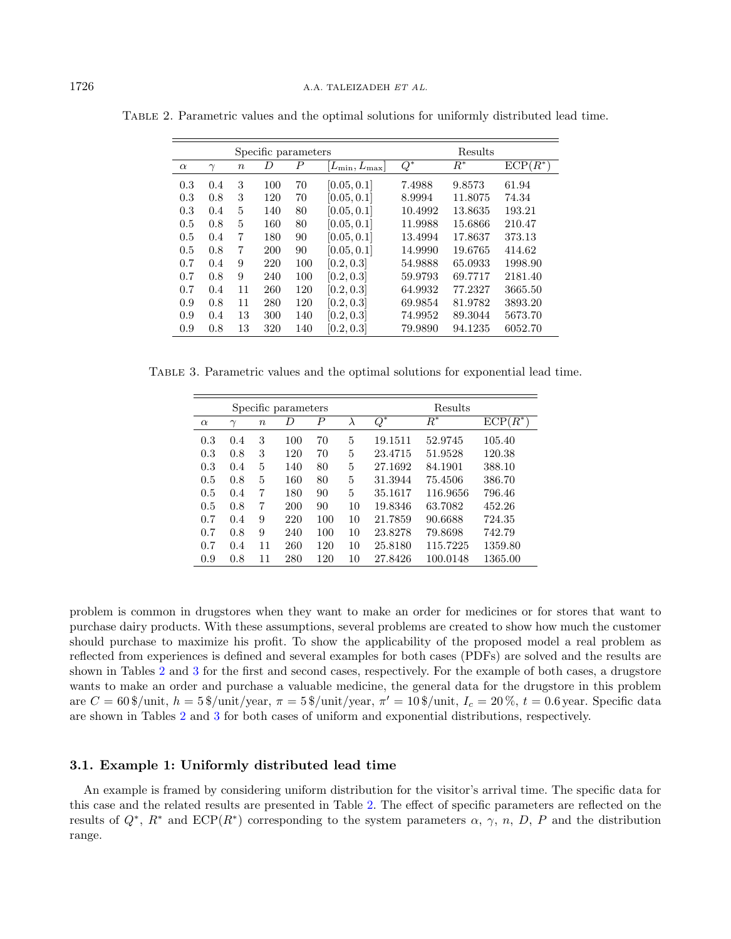<span id="page-9-1"></span>

|          |          |                  | Specific parameters |                  |                              |                  | Results |            |
|----------|----------|------------------|---------------------|------------------|------------------------------|------------------|---------|------------|
| $\alpha$ | $\gamma$ | $\boldsymbol{n}$ | D                   | $\boldsymbol{P}$ | $[L_{\rm min}, L_{\rm max}]$ | $\overline{Q^*}$ | $R^*$   | $ECP(R^*)$ |
| 0.3      | 0.4      | 3                | 100                 | 70               | [0.05, 0.1]                  | 7.4988           | 9.8573  | 61.94      |
| 0.3      | 0.8      | 3                | 120                 | 70               | [0.05, 0.1]                  | 8.9994           | 11.8075 | 74.34      |
| 0.3      | 0.4      | 5                | 140                 | 80               | [0.05, 0.1]                  | 10.4992          | 13.8635 | 193.21     |
| 0.5      | 0.8      | 5                | 160                 | 80               | [0.05, 0.1]                  | 11.9988          | 15.6866 | 210.47     |
| 0.5      | 0.4      | 7                | 180                 | 90               | [0.05, 0.1]                  | 13.4994          | 17.8637 | 373.13     |
| 0.5      | 0.8      | 7                | 200                 | 90               | [0.05, 0.1]                  | 14.9990          | 19.6765 | 414.62     |
| 0.7      | 0.4      | 9                | 220                 | 100              | [0.2, 0.3]                   | 54.9888          | 65.0933 | 1998.90    |
| 0.7      | 0.8      | 9                | 240                 | 100              | [0.2, 0.3]                   | 59.9793          | 69.7717 | 2181.40    |
| 0.7      | 0.4      | 11               | 260                 | 120              | [0.2, 0.3]                   | 64.9932          | 77.2327 | 3665.50    |
| 0.9      | 0.8      | 11               | 280                 | 120              | [0.2, 0.3]                   | 69.9854          | 81.9782 | 3893.20    |
| 0.9      | 0.4      | 13               | 300                 | 140              | [0.2, 0.3]                   | 74.9952          | 89.3044 | 5673.70    |
| 0.9      | 0.8      | 13               | 320                 | 140              | [0.2, 0.3]                   | 79.9890          | 94.1235 | 6052.70    |

<span id="page-9-0"></span>Table 2. Parametric values and the optimal solutions for uniformly distributed lead time.

Table 3. Parametric values and the optimal solutions for exponential lead time.

|          |        |        | Specific parameters |     | Results |                  |            |            |
|----------|--------|--------|---------------------|-----|---------|------------------|------------|------------|
| $\alpha$ | $\sim$ | $\, n$ | D                   | Р   | λ       | $\overline{Q^*}$ | $R^{\ast}$ | $ECP(R^*)$ |
| 0.3      | 0.4    | 3      | 100                 | 70  | 5       | 19.1511          | 52.9745    | 105.40     |
| 0.3      | 0.8    | 3      | 120                 | 70  | 5       | 23.4715          | 51.9528    | 120.38     |
| 0.3      | 0.4    | 5      | 140                 | 80  | 5       | 27.1692          | 84.1901    | 388.10     |
| 0.5      | 0.8    | 5      | 160                 | 80  | 5       | 31.3944          | 75.4506    | 386.70     |
| 0.5      | 0.4    | 7      | 180                 | 90  | 5       | 35.1617          | 116.9656   | 796.46     |
| 0.5      | 0.8    | 7      | 200                 | 90  | 10      | 19.8346          | 63.7082    | 452.26     |
| 0.7      | 0.4    | 9      | 220                 | 100 | 10      | 21.7859          | 90.6688    | 724.35     |
| 0.7      | 0.8    | 9      | 240                 | 100 | 10      | 23.8278          | 79.8698    | 742.79     |
| 0.7      | 0.4    | 11     | 260                 | 120 | 10      | 25.8180          | 115.7225   | 1359.80    |
| 0.9      | 0.8    | 11     | 280                 | 120 | 10      | 27.8426          | 100.0148   | 1365.00    |

problem is common in drugstores when they want to make an order for medicines or for stores that want to purchase dairy products. With these assumptions, several problems are created to show how much the customer should purchase to maximize his profit. To show the applicability of the proposed model a real problem as reflected from experiences is defined and several examples for both cases (PDFs) are solved and the results are shown in Tables [2](#page-9-0) and [3](#page-9-1) for the first and second cases, respectively. For the example of both cases, a drugstore wants to make an order and purchase a valuable medicine, the general data for the drugstore in this problem are  $C = 60\frac{\text{g}}{\text{unit}}$ ,  $h = 5\frac{\text{g}}{\text{unit}}$ /year,  $\pi = 5\frac{\text{g}}{\text{unit}}$ /year,  $\pi' = 10\frac{\text{g}}{\text{unit}}$ ,  $I_c = 20\frac{\text{g}}{\text{co}}$ ,  $t = 0.6$ year. Specific data are shown in Tables [2](#page-9-0) and [3](#page-9-1) for both cases of uniform and exponential distributions, respectively.

#### 3.1. Example 1: Uniformly distributed lead time

An example is framed by considering uniform distribution for the visitor's arrival time. The specific data for this case and the related results are presented in Table [2.](#page-9-0) The effect of specific parameters are reflected on the results of  $Q^*, R^*$  and  $\text{ECP}(R^*)$  corresponding to the system parameters  $\alpha, \gamma, n, D, P$  and the distribution range.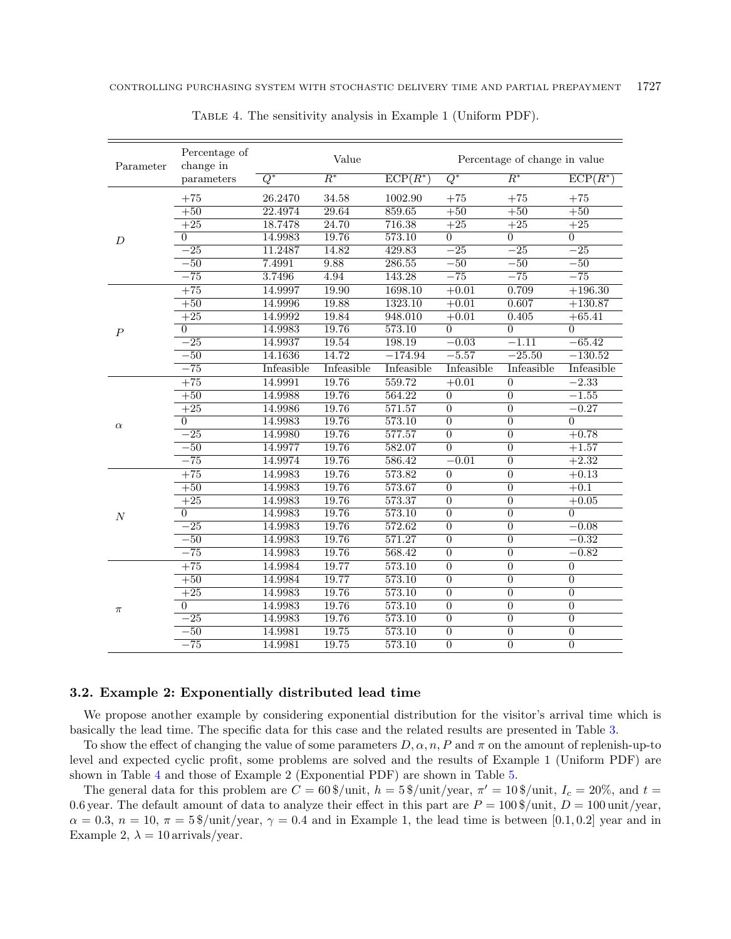| Parameter        | Percentage of<br>change in |            | Value      |            | Percentage of change in value |                  |                |  |
|------------------|----------------------------|------------|------------|------------|-------------------------------|------------------|----------------|--|
|                  | parameters                 | $Q^*$      | $R^*$      | $ECP(R^*)$ | $Q^*$                         | $R^*$            | $ECP(R^*)$     |  |
|                  | $+75$                      | 26.2470    | 34.58      | 1002.90    | $+75$                         | $+75$            | $+75$          |  |
|                  | $+50$                      | 22.4974    | 29.64      | 859.65     | $+50$                         | $+50$            | $+50$          |  |
|                  | $+25$                      | 18.7478    | 24.70      | 716.38     | $+25$                         | $+25$            | $+25$          |  |
| D                | $\theta$                   | 14.9983    | 19.76      | 573.10     | $\overline{0}$                | $\Omega$         | $\overline{0}$ |  |
|                  | $-25$                      | 11.2487    | 14.82      | 429.83     | $-25$                         | $-25$            | $-25$          |  |
|                  | $-50$                      | 7.4991     | 9.88       | 286.55     | $-50$                         | $\overline{-50}$ | $-50$          |  |
|                  | $-75$                      | 3.7496     | 4.94       | 143.28     | $-75$                         | $-75$            | $-75$          |  |
|                  | $+75$                      | 14.9997    | 19.90      | 1698.10    | $+0.01$                       | 0.709            | $+196.30$      |  |
|                  | $+50$                      | 14.9996    | 19.88      | 1323.10    | $+0.01$                       | 0.607            | $+130.87$      |  |
|                  | $+25$                      | 14.9992    | 19.84      | 948.010    | $+0.01$                       | 0.405            | $+65.41$       |  |
| $\boldsymbol{P}$ | $\Omega$                   | 14.9983    | 19.76      | 573.10     | $\Omega$                      | $\Omega$         | $\Omega$       |  |
|                  | $-25$                      | 14.9937    | 19.54      | 198.19     | $-0.03$                       | $-1.11$          | $-65.42$       |  |
|                  | $-50$                      | 14.1636    | 14.72      | $-174.94$  | $-5.57$                       | $-25.50$         | $-130.52$      |  |
|                  | $-75$                      | Infeasible | Infeasible | Infeasible | Infeasible                    | Infeasible       | Infeasible     |  |
|                  | $+75$                      | 14.9991    | 19.76      | 559.72     | $+0.01$                       | $\overline{0}$   | $-2.33$        |  |
|                  | $+50$                      | 14.9988    | 19.76      | 564.22     | $\overline{0}$                | $\overline{0}$   | $-1.55$        |  |
|                  | $+25$                      | 14.9986    | 19.76      | 571.57     | $\overline{0}$                | $\overline{0}$   | $-0.27$        |  |
| $\alpha$         | $\theta$                   | 14.9983    | 19.76      | 573.10     | $\overline{0}$                | $\overline{0}$   | $\overline{0}$ |  |
|                  | $^{-25}$                   | 14.9980    | 19.76      | 577.57     | $\overline{0}$                | $\overline{0}$   | $+0.78$        |  |
|                  | $-\overline{50}$           | 14.9977    | 19.76      | 582.07     | $\overline{0}$                | $\overline{0}$   | $+1.57$        |  |
|                  | $-\overline{75}$           | 14.9974    | 19.76      | 586.42     | $-0.01$                       | $\overline{0}$   | $+2.32$        |  |
|                  | $+75$                      | 14.9983    | 19.76      | 573.82     | $\overline{0}$                | $\overline{0}$   | $+0.13$        |  |
|                  | $+50$                      | 14.9983    | 19.76      | 573.67     | $\overline{0}$                | $\overline{0}$   | $+0.1$         |  |
|                  | $+25$                      | 14.9983    | 19.76      | 573.37     | $\overline{0}$                | $\overline{0}$   | $+0.05$        |  |
| $\cal N$         | $\Omega$                   | 14.9983    | 19.76      | 573.10     | $\overline{0}$                | $\overline{0}$   | $\overline{0}$ |  |
|                  | $-25$                      | 14.9983    | 19.76      | 572.62     | $\overline{0}$                | $\overline{0}$   | $-0.08$        |  |
|                  | $-50$                      | 14.9983    | 19.76      | 571.27     | $\boldsymbol{0}$              | $\overline{0}$   | $-0.32$        |  |
|                  | $-\overline{75}$           | 14.9983    | 19.76      | 568.42     | $\overline{0}$                | $\overline{0}$   | $-0.82$        |  |
|                  | $+75$                      | 14.9984    | 19.77      | 573.10     | $\boldsymbol{0}$              | $\boldsymbol{0}$ | $\overline{0}$ |  |
| $\pi$            | $+50$                      | 14.9984    | 19.77      | 573.10     | $\overline{0}$                | $\overline{0}$   | $\overline{0}$ |  |
|                  | $+25$                      | 14.9983    | 19.76      | 573.10     | $\overline{0}$                | $\overline{0}$   | $\overline{0}$ |  |
|                  | $\theta$                   | 14.9983    | 19.76      | 573.10     | $\overline{0}$                | $\overline{0}$   | $\overline{0}$ |  |
|                  | $^{-25}$                   | 14.9983    | 19.76      | 573.10     | $\overline{0}$                | $\overline{0}$   | $\overline{0}$ |  |
|                  | $-50$                      | 14.9981    | 19.75      | 573.10     | $\overline{0}$                | $\overline{0}$   | $\overline{0}$ |  |
|                  | $-\overline{75}$           | 14.9981    | 19.75      | 573.10     | $\overline{0}$                | $\overline{0}$   | $\overline{0}$ |  |

<span id="page-10-0"></span>Table 4. The sensitivity analysis in Example 1 (Uniform PDF).

## 3.2. Example 2: Exponentially distributed lead time

We propose another example by considering exponential distribution for the visitor's arrival time which is basically the lead time. The specific data for this case and the related results are presented in Table [3.](#page-9-1)

To show the effect of changing the value of some parameters  $D, \alpha, n, P$  and  $\pi$  on the amount of replenish-up-to level and expected cyclic profit, some problems are solved and the results of Example 1 (Uniform PDF) are shown in Table [4](#page-10-0) and those of Example 2 (Exponential PDF) are shown in Table [5.](#page-11-0)

The general data for this problem are  $C = 60\frac{\text{g}}{\text{unit}}$ ,  $h = 5\frac{\text{g}}{\text{unit}}$ ,  $\text{year}$ ,  $\pi' = 10\frac{\text{g}}{\text{unit}}$ ,  $I_c = 20\%$ , and  $t =$ 0.6 year. The default amount of data to analyze their effect in this part are  $P = 100\frac{\text{g}}{\text{unit}}$ ,  $D = 100\frac{\text{unit}}{\text{year}}$ ,  $\alpha = 0.3$ ,  $n = 10$ ,  $\pi = 5\frac{\text{g}}{\text{unit}}/\text{year}$ ,  $\gamma = 0.4$  and in Example 1, the lead time is between [0.1, 0.2] year and in Example 2,  $\lambda = 10$  arrivals/year.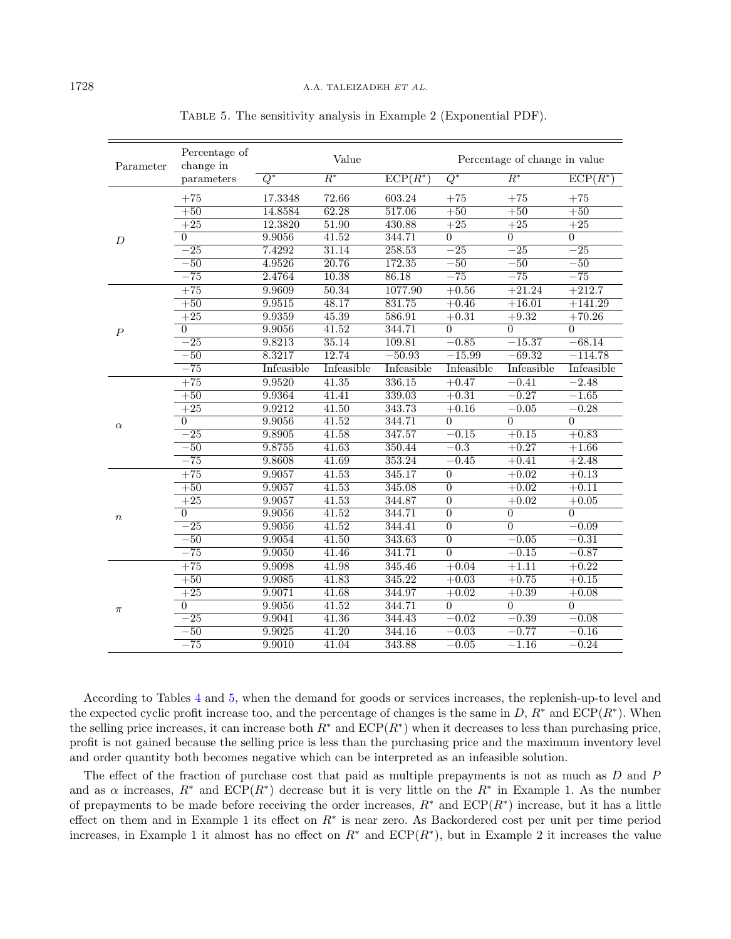| Parameter        | Percentage of<br>change in |            | Value              |            | Percentage of change in value |                  |                |  |
|------------------|----------------------------|------------|--------------------|------------|-------------------------------|------------------|----------------|--|
|                  | parameters                 | $Q^*$      | $R^*$              | $ECP(R^*)$ | $Q^*$                         | $\overline{R^*}$ | $ECP(R^*)$     |  |
|                  | $+75$                      | 17.3348    | 72.66              | 603.24     | $+75$                         | $+75$            | $+75$          |  |
|                  | $+50$                      | 14.8584    | 62.28              | 517.06     | $+50$                         | $+50$            | $+50$          |  |
|                  | $+25$                      | 12.3820    | 51.90              | 430.88     | $+25$                         | $+25$            | $+25$          |  |
| D                | $\overline{0}$             | 9.9056     | 41.52              | 344.71     | $\overline{0}$                | $\overline{0}$   | $\overline{0}$ |  |
|                  | $-\overline{25}$           | 7.4292     | 31.14              | 258.53     | $-25$                         | $-25$            | $-25$          |  |
|                  | $-50$                      | 4.9526     | 20.76              | 172.35     | $-50$                         | $-50$            | $-50$          |  |
|                  | $-75$                      | 2.4764     | 10.38              | 86.18      | $-75$                         | $-\overline{75}$ | $-75$          |  |
|                  | $+75$                      | 9.9609     | 50.34              | 1077.90    | $+0.56$                       | $+21.24$         | $+212.7$       |  |
|                  | $+50$                      | 9.9515     | 48.17              | 831.75     | $+0.46$                       | $+16.01$         | $+141.29$      |  |
|                  | $+25$                      | 9.9359     | 45.39              | 586.91     | $+0.31$                       | $+9.32$          | $+70.26$       |  |
| $\boldsymbol{P}$ | $\theta$                   | 9.9056     | 41.52              | 344.71     | $\overline{0}$                | $\overline{0}$   | $\overline{0}$ |  |
|                  | $-25$                      | 9.8213     | 35.14              | 109.81     | $-0.85$                       | $-15.37$         | $-68.14$       |  |
|                  | $-50$                      | 8.3217     | 12.74              | $-50.93$   | $-15.99$                      | $-69.32$         | $-114.78$      |  |
|                  | $-75$                      | Infeasible | Infeasible         | Infeasible | Infeasible                    | Infeasible       | Infeasible     |  |
| $\alpha$         | $+75$                      | 9.9520     | 41.35              | 336.15     | $+0.47$                       | $-0.41$          | $-2.48$        |  |
|                  | $+50$                      | 9.9364     | 41.41              | 339.03     | $+0.31$                       | $-0.27$          | $-1.65$        |  |
|                  | $+25$                      | 9.9212     | $\overline{41.50}$ | 343.73     | $+0.16$                       | $-0.05$          | $-0.28$        |  |
|                  | $\overline{0}$             | 9.9056     | 41.52              | 344.71     | $\overline{0}$                | $\overline{0}$   | $\overline{0}$ |  |
|                  | $-25$                      | 9.8905     | 41.58              | 347.57     | $-0.15$                       | $+0.15$          | $+0.83$        |  |
|                  | $-50$                      | 9.8755     | 41.63              | 350.44     | $-0.3$                        | $+0.27$          | $+1.66$        |  |
|                  | $-75$                      | 9.8608     | 41.69              | 353.24     | $-0.45$                       | $+0.41$          | $+2.48$        |  |
|                  | $+75$                      | 9.9057     | 41.53              | 345.17     | $\overline{0}$                | $+0.02$          | $+0.13$        |  |
|                  | $+50$                      | 9.9057     | 41.53              | 345.08     | $\overline{0}$                | $+0.02$          | $+0.11$        |  |
|                  | $+25$                      | 9.9057     | 41.53              | 344.87     | $\overline{0}$                | $+0.02$          | $+0.05$        |  |
| $\boldsymbol{n}$ | $\overline{0}$             | 9.9056     | 41.52              | 344.71     | $\overline{0}$                | $\overline{0}$   | $\overline{0}$ |  |
|                  | $-25$                      | 9.9056     | $\overline{41.52}$ | 344.41     | $\overline{0}$                | $\overline{0}$   | $-0.09$        |  |
|                  | $-50$                      | 9.9054     | 41.50              | 343.63     | $\overline{0}$                | $-0.05$          | $-0.31$        |  |
|                  | $-75$                      | 9.9050     | 41.46              | 341.71     | $\overline{0}$                | $-0.15$          | $-0.87$        |  |
|                  | $+75$                      | 9.9098     | 41.98              | 345.46     | $+0.04$                       | $+1.11$          | $+0.22$        |  |
| $\pi$            | $+50$                      | 9.9085     | 41.83              | 345.22     | $+0.03$                       | $+0.75$          | $+0.15$        |  |
|                  | $+25$                      | 9.9071     | 41.68              | 344.97     | $+0.02$                       | $+0.39$          | $+0.08$        |  |
|                  | $\overline{0}$             | 9.9056     | 41.52              | 344.71     | $\overline{0}$                | $\overline{0}$   | $\overline{0}$ |  |
|                  | $-25$                      | 9.9041     | 41.36              | 344.43     | $-0.02$                       | $-0.39$          | $-0.08$        |  |
|                  | $-50$                      | 9.9025     | 41.20              | 344.16     | $-0.03$                       | $-0.77$          | $-0.16$        |  |
|                  | $-\overline{75}$           | 9.9010     | 41.04              | 343.88     | $-0.05$                       | $-1.16$          | $-0.24$        |  |

<span id="page-11-0"></span>Table 5. The sensitivity analysis in Example 2 (Exponential PDF).

According to Tables [4](#page-10-0) and [5,](#page-11-0) when the demand for goods or services increases, the replenish-up-to level and the expected cyclic profit increase too, and the percentage of changes is the same in  $D, R^*$  and  $\text{ECP}(R^*)$ . When the selling price increases, it can increase both  $R^*$  and  $ECP(R^*)$  when it decreases to less than purchasing price, profit is not gained because the selling price is less than the purchasing price and the maximum inventory level and order quantity both becomes negative which can be interpreted as an infeasible solution.

The effect of the fraction of purchase cost that paid as multiple prepayments is not as much as  $D$  and  $P$ and as  $\alpha$  increases,  $R^*$  and  $ECP(R^*)$  decrease but it is very little on the  $R^*$  in Example 1. As the number of prepayments to be made before receiving the order increases,  $R^*$  and  $\text{ECP}(R^*)$  increase, but it has a little effect on them and in Example 1 its effect on  $R^*$  is near zero. As Backordered cost per unit per time period increases, in Example 1 it almost has no effect on  $R^*$  and  $ECP(R^*)$ , but in Example 2 it increases the value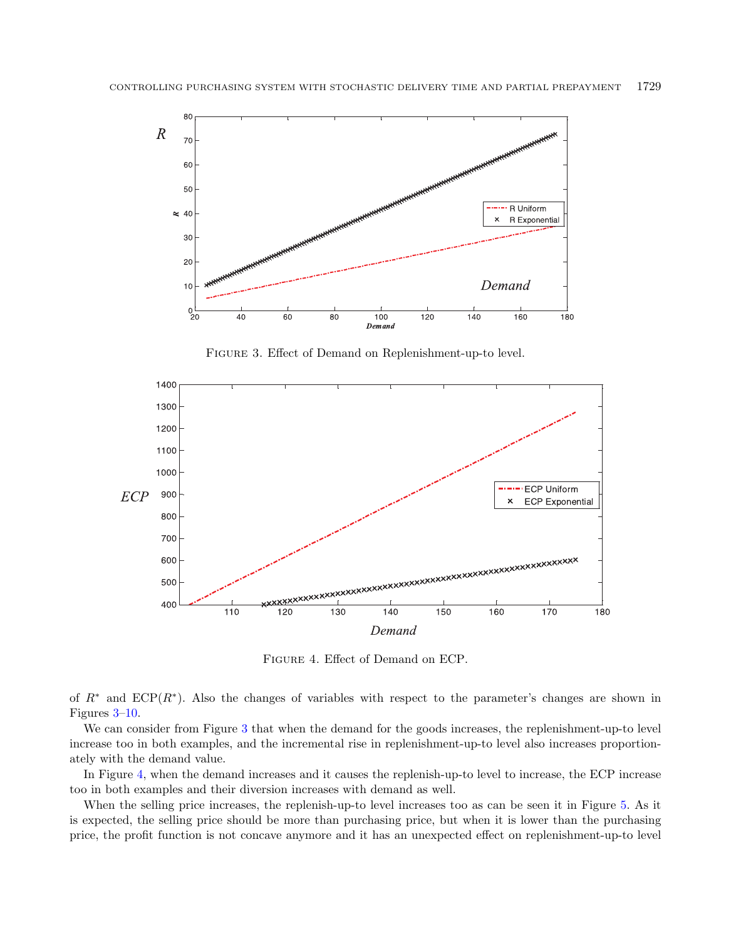<span id="page-12-0"></span>

<span id="page-12-1"></span>Figure 3. Effect of Demand on Replenishment-up-to level.



Figure 4. Effect of Demand on ECP.

of  $R^*$  and  $ECP(R^*)$ . Also the changes of variables with respect to the parameter's changes are shown in Figures [3–](#page-12-0)[10.](#page-15-0)

We can consider from Figure [3](#page-12-0) that when the demand for the goods increases, the replenishment-up-to level increase too in both examples, and the incremental rise in replenishment-up-to level also increases proportionately with the demand value.

In Figure [4,](#page-12-1) when the demand increases and it causes the replenish-up-to level to increase, the ECP increase too in both examples and their diversion increases with demand as well.

When the selling price increases, the replenish-up-to level increases too as can be seen it in Figure [5.](#page-13-0) As it is expected, the selling price should be more than purchasing price, but when it is lower than the purchasing price, the profit function is not concave anymore and it has an unexpected effect on replenishment-up-to level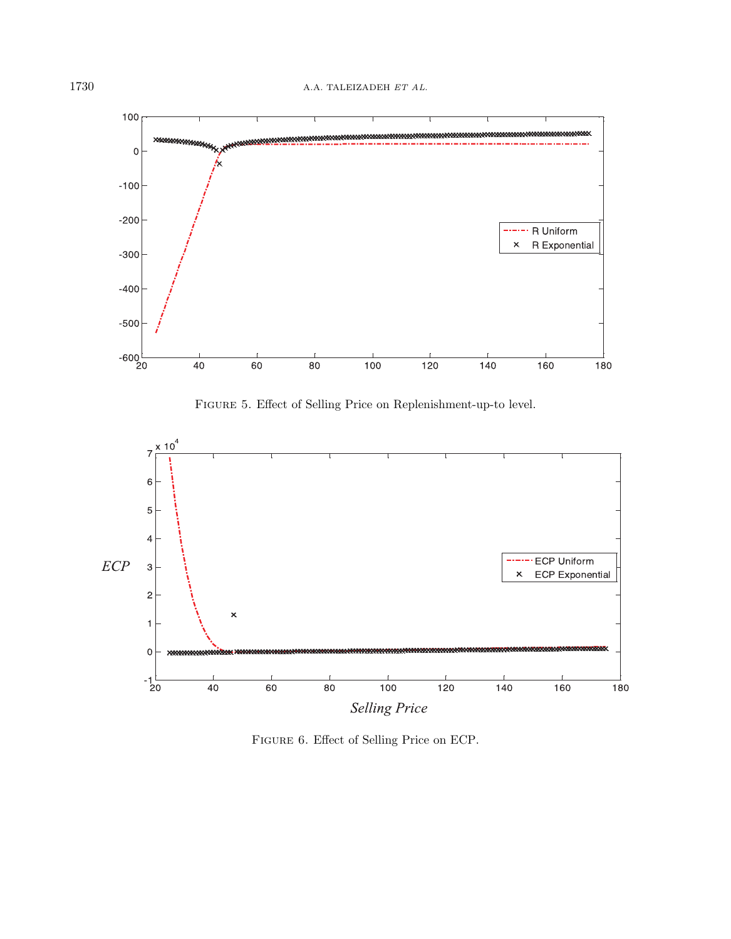

<span id="page-13-0"></span>Figure 5. Effect of Selling Price on Replenishment-up-to level.



FIGURE 6. Effect of Selling Price on ECP.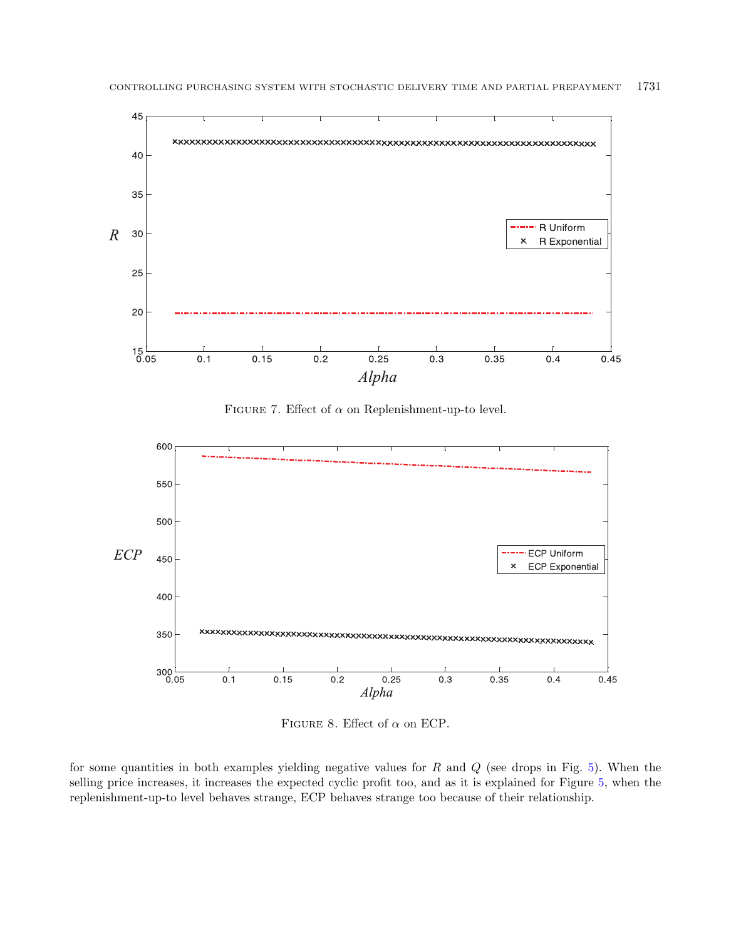

<span id="page-14-0"></span>FIGURE 7. Effect of  $\alpha$  on Replenishment-up-to level.



FIGURE 8. Effect of  $\alpha$  on ECP.

for some quantities in both examples yielding negative values for  $R$  and  $Q$  (see drops in Fig. [5\)](#page-13-0). When the selling price increases, it increases the expected cyclic profit too, and as it is explained for Figure [5,](#page-13-0) when the replenishment-up-to level behaves strange, ECP behaves strange too because of their relationship.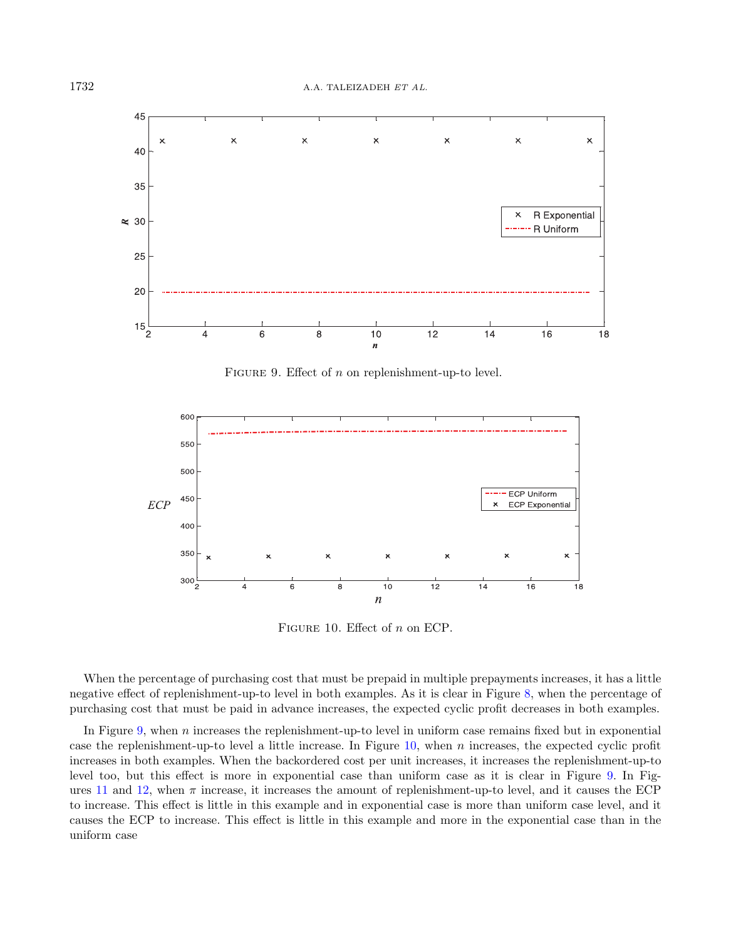

<span id="page-15-1"></span><span id="page-15-0"></span>FIGURE 9. Effect of  $n$  on replenishment-up-to level.



FIGURE 10. Effect of  $n$  on ECP.

When the percentage of purchasing cost that must be prepaid in multiple prepayments increases, it has a little negative effect of replenishment-up-to level in both examples. As it is clear in Figure [8,](#page-14-0) when the percentage of purchasing cost that must be paid in advance increases, the expected cyclic profit decreases in both examples.

In Figure [9,](#page-15-1) when  $n$  increases the replenishment-up-to level in uniform case remains fixed but in exponential case the replenishment-up-to level a little increase. In Figure  $10$ , when  $n$  increases, the expected cyclic profit increases in both examples. When the backordered cost per unit increases, it increases the replenishment-up-to level too, but this effect is more in exponential case than uniform case as it is clear in Figure [9.](#page-15-1) In Fig-ures [11](#page-16-0) and [12,](#page-16-1) when  $\pi$  increase, it increases the amount of replenishment-up-to level, and it causes the ECP to increase. This effect is little in this example and in exponential case is more than uniform case level, and it causes the ECP to increase. This effect is little in this example and more in the exponential case than in the uniform case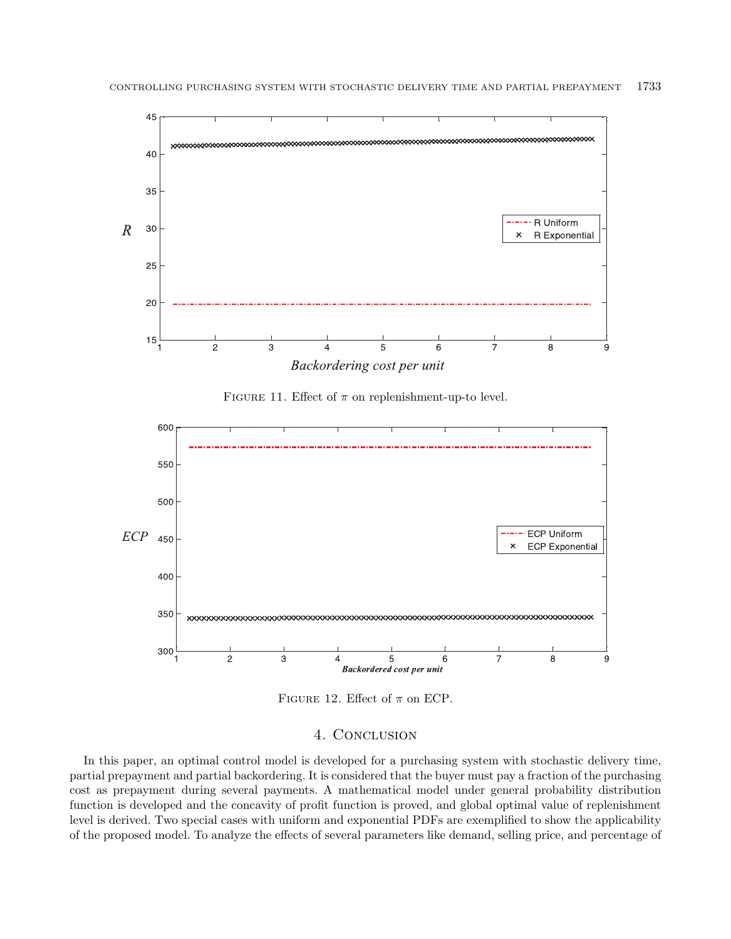

<span id="page-16-1"></span><span id="page-16-0"></span>FIGURE 11. Effect of  $\pi$  on replenishment-up-to level.



FIGURE 12. Effect of  $\pi$  on ECP.

## 4. CONCLUSION

In this paper, an optimal control model is developed for a purchasing system with stochastic delivery time, partial prepayment and partial backordering. It is considered that the buyer must pay a fraction of the purchasing cost as prepayment during several payments. A mathematical model under general probability distribution function is developed and the concavity of profit function is proved, and global optimal value of replenishment level is derived. Two special cases with uniform and exponential PDFs are exemplified to show the applicability of the proposed model. To analyze the effects of several parameters like demand, selling price, and percentage of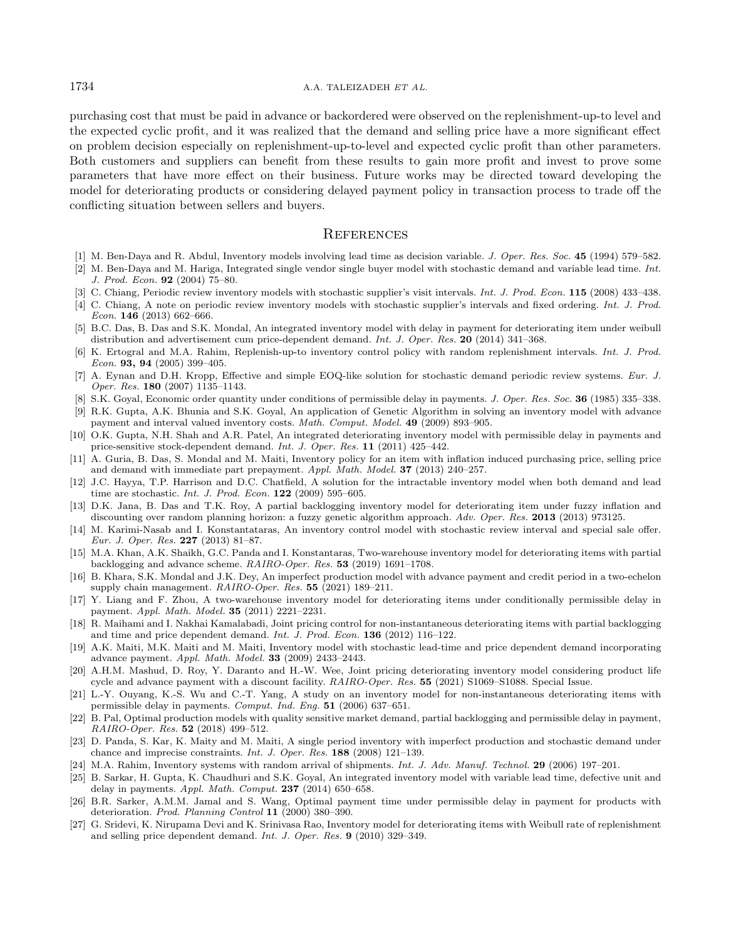#### <span id="page-17-20"></span><span id="page-17-11"></span>1734 A.A. TALEIZADEH ET AL.

<span id="page-17-16"></span><span id="page-17-9"></span><span id="page-17-8"></span><span id="page-17-7"></span>purchasing cost that must be paid in advance or backordered were observed on the replenishment-up-to level and the expected cyclic profit, and it was realized that the demand and selling price have a more significant effect on problem decision especially on replenishment-up-to-level and expected cyclic profit than other parameters. Both customers and suppliers can benefit from these results to gain more profit and invest to prove some parameters that have more effect on their business. Future works may be directed toward developing the model for deteriorating products or considering delayed payment policy in transaction process to trade off the conflicting situation between sellers and buyers.

#### **REFERENCES**

- <span id="page-17-22"></span><span id="page-17-17"></span><span id="page-17-5"></span><span id="page-17-0"></span>[1] M. Ben-Daya and R. Abdul, Inventory models involving lead time as decision variable. J. Oper. Res. Soc. 45 (1994) 579–582.
- [2] M. Ben-Daya and M. Hariga, Integrated single vendor single buyer model with stochastic demand and variable lead time. Int. J. Prod. Econ. 92 (2004) 75–80.
- <span id="page-17-1"></span>[3] C. Chiang, Periodic review inventory models with stochastic supplier's visit intervals. Int. J. Prod. Econ. 115 (2008) 433-438.
- <span id="page-17-13"></span>[4] C. Chiang, A note on periodic review inventory models with stochastic supplier's intervals and fixed ordering. Int. J. Prod. Econ. 146 (2013) 662–666.
- <span id="page-17-19"></span>[5] B.C. Das, B. Das and S.K. Mondal, An integrated inventory model with delay in payment for deteriorating item under weibull distribution and advertisement cum price-dependent demand. Int. J. Oper. Res. 20 (2014) 341–368.
- <span id="page-17-12"></span>[6] K. Ertogral and M.A. Rahim, Replenish-up-to inventory control policy with random replenishment intervals. Int. J. Prod. Econ. 93, 94 (2005) 399–405.
- <span id="page-17-24"></span>[7] A. Eynan and D.H. Kropp, Effective and simple EOQ-like solution for stochastic demand periodic review systems. Eur. J. Oper. Res. 180 (2007) 1135–1143.
- <span id="page-17-25"></span>[8] S.K. Goyal, Economic order quantity under conditions of permissible delay in payments. J. Oper. Res. Soc. 36 (1985) 335–338.
- [9] R.K. Gupta, A.K. Bhunia and S.K. Goyal, An application of Genetic Algorithm in solving an inventory model with advance payment and interval valued inventory costs. Math. Comput. Model. 49 (2009) 893–905.
- <span id="page-17-4"></span>[10] O.K. Gupta, N.H. Shah and A.R. Patel, An integrated deteriorating inventory model with permissible delay in payments and price-sensitive stock-dependent demand. Int. J. Oper. Res. 11 (2011) 425–442.
- <span id="page-17-2"></span>[11] A. Guria, B. Das, S. Mondal and M. Maiti, Inventory policy for an item with inflation induced purchasing price, selling price and demand with immediate part prepayment. Appl. Math. Model. 37 (2013) 240–257.
- <span id="page-17-15"></span>[12] J.C. Hayya, T.P. Harrison and D.C. Chatfield, A solution for the intractable inventory model when both demand and lead time are stochastic. Int. J. Prod. Econ. 122 (2009) 595–605.
- <span id="page-17-26"></span>[13] D.K. Jana, B. Das and T.K. Roy, A partial backlogging inventory model for deteriorating item under fuzzy inflation and discounting over random planning horizon: a fuzzy genetic algorithm approach. Adv. Oper. Res. 2013 (2013) 973125.
- <span id="page-17-6"></span>[14] M. Karimi-Nasab and I. Konstantataras, An inventory control model with stochastic review interval and special sale offer. Eur. J. Oper. Res. 227 (2013) 81–87.
- <span id="page-17-23"></span>[15] M.A. Khan, A.K. Shaikh, G.C. Panda and I. Konstantaras, Two-warehouse inventory model for deteriorating items with partial backlogging and advance scheme. RAIRO-Oper. Res. 53 (2019) 1691–1708.
- <span id="page-17-21"></span>[16] B. Khara, S.K. Mondal and J.K. Dey, An imperfect production model with advance payment and credit period in a two-echelon supply chain management. RAIRO-Oper. Res. 55 (2021) 189–211.
- <span id="page-17-14"></span><span id="page-17-10"></span>[17] Y. Liang and F. Zhou, A two-warehouse inventory model for deteriorating items under conditionally permissible delay in payment. Appl. Math. Model. 35 (2011) 2221–2231.
- <span id="page-17-3"></span>[18] R. Maihami and I. Nakhai Kamalabadi, Joint pricing control for non-instantaneous deteriorating items with partial backlogging and time and price dependent demand. Int. J. Prod. Econ. 136 (2012) 116–122.
- <span id="page-17-18"></span>[19] A.K. Maiti, M.K. Maiti and M. Maiti, Inventory model with stochastic lead-time and price dependent demand incorporating advance payment. Appl. Math. Model. 33 (2009) 2433–2443.
- [20] A.H.M. Mashud, D. Roy, Y. Daranto and H.-W. Wee, Joint pricing deteriorating inventory model considering product life cycle and advance payment with a discount facility. RAIRO-Oper. Res. 55 (2021) S1069–S1088. Special Issue.
- [21] L.-Y. Ouyang, K.-S. Wu and C.-T. Yang, A study on an inventory model for non-instantaneous deteriorating items with permissible delay in payments. Comput. Ind. Eng. 51 (2006) 637–651.
- [22] B. Pal, Optimal production models with quality sensitive market demand, partial backlogging and permissible delay in payment, RAIRO-Oper. Res. 52 (2018) 499–512.
- [23] D. Panda, S. Kar, K. Maity and M. Maiti, A single period inventory with imperfect production and stochastic demand under chance and imprecise constraints. Int. J. Oper. Res. 188 (2008) 121–139.
- [24] M.A. Rahim, Inventory systems with random arrival of shipments. Int. J. Adv. Manuf. Technol. 29 (2006) 197–201.
- [25] B. Sarkar, H. Gupta, K. Chaudhuri and S.K. Goyal, An integrated inventory model with variable lead time, defective unit and delay in payments. Appl. Math. Comput.  $237$  (2014) 650–658.
- [26] B.R. Sarker, A.M.M. Jamal and S. Wang, Optimal payment time under permissible delay in payment for products with deterioration. Prod. Planning Control 11 (2000) 380–390.
- [27] G. Sridevi, K. Nirupama Devi and K. Srinivasa Rao, Inventory model for deteriorating items with Weibull rate of replenishment and selling price dependent demand. Int. J. Oper. Res. 9 (2010) 329–349.